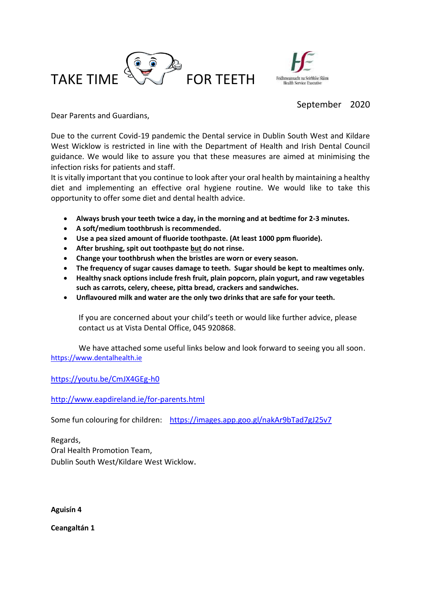



## September 2020

Dear Parents and Guardians,

Due to the current Covid-19 pandemic the Dental service in Dublin South West and Kildare West Wicklow is restricted in line with the Department of Health and Irish Dental Council guidance. We would like to assure you that these measures are aimed at minimising the infection risks for patients and staff.

It is vitally important that you continue to look after your oral health by maintaining a healthy diet and implementing an effective oral hygiene routine. We would like to take this opportunity to offer some diet and dental health advice.

- **Always brush your teeth twice a day, in the morning and at bedtime for 2-3 minutes.**
- **A soft/medium toothbrush is recommended.**
- **Use a pea sized amount of fluoride toothpaste. (At least 1000 ppm fluoride).**
- **After brushing, spit out toothpaste but do not rinse.**
- **Change your toothbrush when the bristles are worn or every season.**
- **The frequency of sugar causes damage to teeth. Sugar should be kept to mealtimes only.**
- **Healthy snack options include fresh fruit, plain popcorn, plain yogurt, and raw vegetables such as carrots, celery, cheese, pitta bread, crackers and sandwiches.**
- **Unflavoured milk and water are the only two drinks that are safe for your teeth.**

If you are concerned about your child's teeth or would like further advice, please contact us at Vista Dental Office, 045 920868.

We have attached some useful links below and look forward to seeing you all soon. [https://www.dentalhealth.ie](https://www.dentalhealth.ie/)

<https://youtu.be/CmJX4GEg-h0>

<http://www.eapdireland.ie/for-parents.html>

Some fun colouring for children: <https://images.app.goo.gl/nakAr9bTad7gJ25v7>

Regards, Oral Health Promotion Team, Dublin South West/Kildare West Wicklow.

**Aguisín 4**

**Ceangaltán 1**